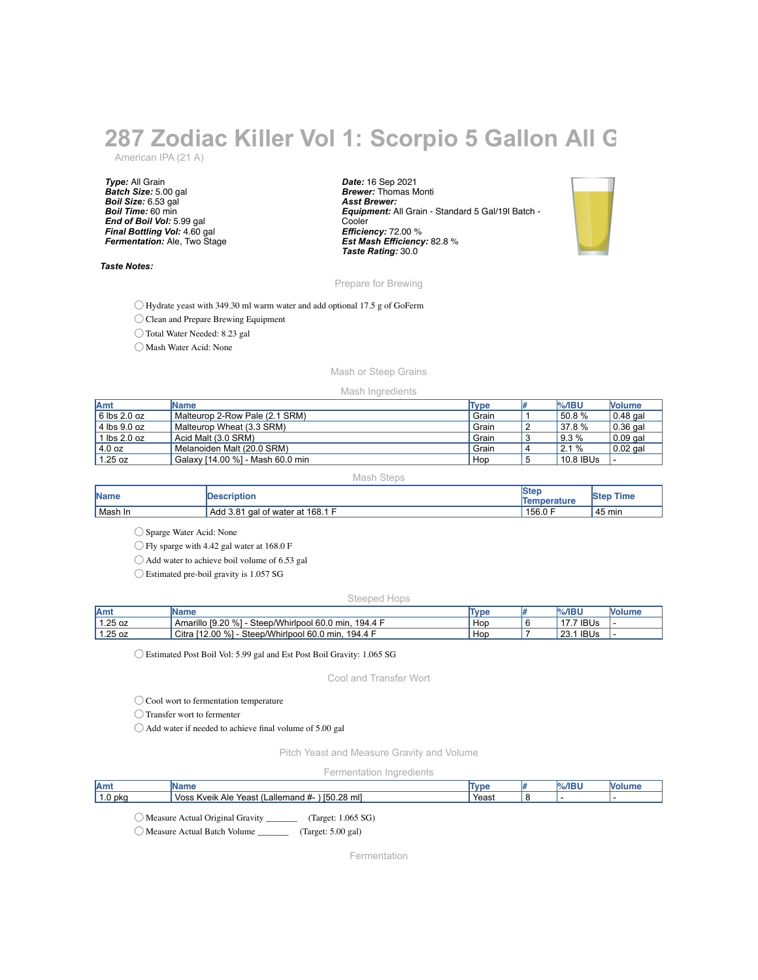# **287 Zodiac Killer Vol 1: Scorpio 5 Gallon All G**

American IPA (21 A)

*Type:* All Grain *Batch Size:* 5.00 gal *Boil Size:* 6.53 gal *Boil Time:* 60 min *End of Boil Vol:* 5.99 gal *Final Bottling Vol:* 4.60 gal *Fermentation:* Ale, Two Stage

## *Taste Notes:*

*Date:* 16 Sep 2021 *Brewer:* Thomas Monti *Asst Brewer: Equipment:* All Grain - Standard 5 Gal/19l Batch - **Cooler** *Efficiency:* 72.00 % *Est Mash Efficiency:* 82.8 % *Taste Rating:* 30.0



Prepare for Brewing

◯ Hydrate yeast with 349.30 ml warm water and add optional 17.5 g of GoFerm

◯ Clean and Prepare Brewing Equipment

◯ Total Water Needed: 8.23 gal

◯ Mash Water Acid: None

# Mash or Steep Grains

#### Mash Ingredients

| Amt                  | <b>Name</b>                      | Type  | $%$ /IBU  | <b>Nolume</b> |
|----------------------|----------------------------------|-------|-----------|---------------|
| $6$ lbs 2.0 oz       | Malteurop 2-Row Pale (2.1 SRM)   | Grain | 50.8 %    | $0.48$ gal    |
| $\vert$ 4 lbs 9.0 oz | Malteurop Wheat (3.3 SRM)        | Grain | 37.8 %    | $0.36$ gal    |
| $1$ lbs 2.0 oz       | Acid Malt (3.0 SRM)              | Grain | 9.3%      | $0.09$ gal    |
| 4.0 oz               | Melanoiden Malt (20.0 SRM)       | Grain | 2.1%      | $0.02$ gal    |
| 1.25 oz              | Galaxy [14.00 %] - Mash 60.0 min | Hop   | 10.8 IBUs |               |

Mash Steps

| Name    | <b>IDescription</b>                 | Temperature | Time<br><b>Step</b> |
|---------|-------------------------------------|-------------|---------------------|
| Mash In | gal of water at 168.1 F<br>Add 3.81 | 156.0 F     | 45 min              |

◯ Sparge Water Acid: None

◯ Fly sparge with 4.42 gal water at 168.0 F

◯ Add water to achieve boil volume of 6.53 gal

◯ Estimated pre-boil gravity is 1.057 SG

## Steeped Hops

| <b>JAmy</b> | IName                                                         | <b>Type</b> | $%$ /IBU       | <b>Nolume</b> |
|-------------|---------------------------------------------------------------|-------------|----------------|---------------|
| 1.25 oz     | Amarillo [9.20 %] -<br>Steep/Whirlpool 60.0 min.<br>… 194.4 「 | Hop         | <b>IBUs</b>    |               |
| 1.25 oz     | Citra [12.00 %]<br>Steep/Whirlpool 60.0 min,<br>. 194.4 F     | Hop         | 1 IBUs<br>23.1 |               |

◯ Estimated Post Boil Vol: 5.99 gal and Est Post Boil Gravity: 1.065 SG

Cool and Transfer Wort

◯ Cool wort to fermentation temperature

◯ Transfer wort to fermenter

◯ Add water if needed to achieve final volume of 5.00 gal

Pitch Yeast and Measure Gravity and Volume

Fermentation Ingredients

| Amt                             | Name                                            | Type  | $%$ /IBU |  |
|---------------------------------|-------------------------------------------------|-------|----------|--|
| $1.0p$ kg                       | Voss Kveik Ale Yeast (Lallemand #- ) [50.28 ml] | Yeast |          |  |
| Measure Actual Original Gravity |                                                 |       |          |  |

◯ Measure Actual Batch Volume \_\_\_\_\_\_\_ (Target: 5.00 gal)

Fermentation